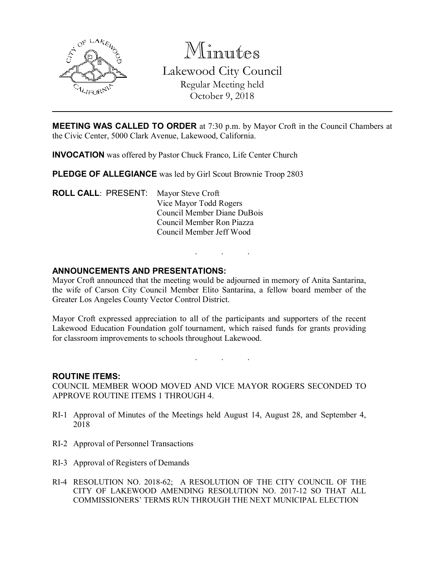

Minutes Lakewood City Council Regular Meeting held October 9, 2018

MEETING WAS CALLED TO ORDER at 7:30 p.m. by Mayor Croft in the Council Chambers at the Civic Center, 5000 Clark Avenue, Lakewood, California.

INVOCATION was offered by Pastor Chuck Franco, Life Center Church

PLEDGE OF ALLEGIANCE was led by Girl Scout Brownie Troop 2803

ROLL CALL: PRESENT: Mayor Steve Croft Vice Mayor Todd Rogers Council Member Diane DuBois Council Member Ron Piazza Council Member Jeff Wood

## ANNOUNCEMENTS AND PRESENTATIONS:

Mayor Croft announced that the meeting would be adjourned in memory of Anita Santarina, the wife of Carson City Council Member Elito Santarina, a fellow board member of the Greater Los Angeles County Vector Control District.

. . .

Mayor Croft expressed appreciation to all of the participants and supporters of the recent Lakewood Education Foundation golf tournament, which raised funds for grants providing for classroom improvements to schools throughout Lakewood.

. . .

#### ROUTINE ITEMS:

COUNCIL MEMBER WOOD MOVED AND VICE MAYOR ROGERS SECONDED TO APPROVE ROUTINE ITEMS 1 THROUGH 4.

- RI-1 Approval of Minutes of the Meetings held August 14, August 28, and September 4, 2018
- RI-2 Approval of Personnel Transactions
- RI-3 Approval of Registers of Demands
- RI-4 RESOLUTION NO. 2018-62; A RESOLUTION OF THE CITY COUNCIL OF THE CITY OF LAKEWOOD AMENDING RESOLUTION NO. 2017-12 SO THAT ALL COMMISSIONERS' TERMS RUN THROUGH THE NEXT MUNICIPAL ELECTION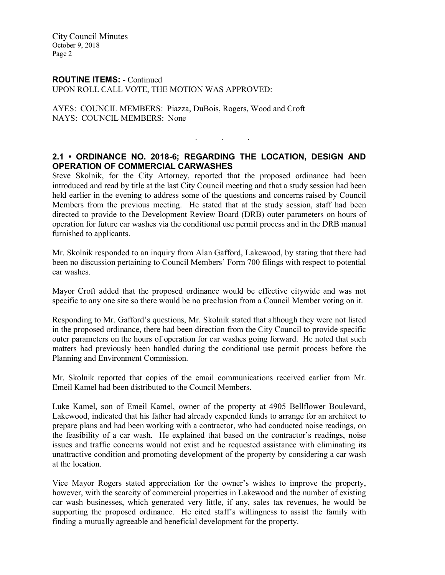#### ROUTINE ITEMS: - Continued UPON ROLL CALL VOTE, THE MOTION WAS APPROVED:

AYES: COUNCIL MEMBERS: Piazza, DuBois, Rogers, Wood and Croft NAYS: COUNCIL MEMBERS: None

## 2.1 • ORDINANCE NO. 2018-6; REGARDING THE LOCATION, DESIGN AND OPERATION OF COMMERCIAL CARWASHES

. . .

Steve Skolnik, for the City Attorney, reported that the proposed ordinance had been introduced and read by title at the last City Council meeting and that a study session had been held earlier in the evening to address some of the questions and concerns raised by Council Members from the previous meeting. He stated that at the study session, staff had been directed to provide to the Development Review Board (DRB) outer parameters on hours of operation for future car washes via the conditional use permit process and in the DRB manual furnished to applicants.

Mr. Skolnik responded to an inquiry from Alan Gafford, Lakewood, by stating that there had been no discussion pertaining to Council Members' Form 700 filings with respect to potential car washes.

Mayor Croft added that the proposed ordinance would be effective citywide and was not specific to any one site so there would be no preclusion from a Council Member voting on it.

Responding to Mr. Gafford's questions, Mr. Skolnik stated that although they were not listed in the proposed ordinance, there had been direction from the City Council to provide specific outer parameters on the hours of operation for car washes going forward. He noted that such matters had previously been handled during the conditional use permit process before the Planning and Environment Commission.

Mr. Skolnik reported that copies of the email communications received earlier from Mr. Emeil Kamel had been distributed to the Council Members.

Luke Kamel, son of Emeil Kamel, owner of the property at 4905 Bellflower Boulevard, Lakewood, indicated that his father had already expended funds to arrange for an architect to prepare plans and had been working with a contractor, who had conducted noise readings, on the feasibility of a car wash. He explained that based on the contractor's readings, noise issues and traffic concerns would not exist and he requested assistance with eliminating its unattractive condition and promoting development of the property by considering a car wash at the location.

Vice Mayor Rogers stated appreciation for the owner's wishes to improve the property, however, with the scarcity of commercial properties in Lakewood and the number of existing car wash businesses, which generated very little, if any, sales tax revenues, he would be supporting the proposed ordinance. He cited staff's willingness to assist the family with finding a mutually agreeable and beneficial development for the property.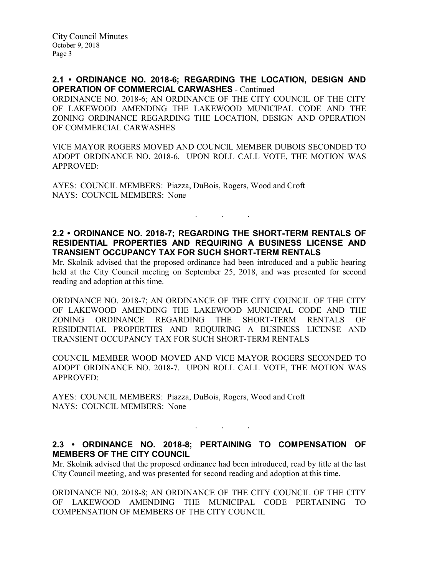#### 2.1 • ORDINANCE NO. 2018-6; REGARDING THE LOCATION, DESIGN AND OPERATION OF COMMERCIAL CARWASHES - Continued

ORDINANCE NO. 2018-6; AN ORDINANCE OF THE CITY COUNCIL OF THE CITY OF LAKEWOOD AMENDING THE LAKEWOOD MUNICIPAL CODE AND THE ZONING ORDINANCE REGARDING THE LOCATION, DESIGN AND OPERATION OF COMMERCIAL CARWASHES

VICE MAYOR ROGERS MOVED AND COUNCIL MEMBER DUBOIS SECONDED TO ADOPT ORDINANCE NO. 2018-6. UPON ROLL CALL VOTE, THE MOTION WAS APPROVED:

AYES: COUNCIL MEMBERS: Piazza, DuBois, Rogers, Wood and Croft NAYS: COUNCIL MEMBERS: None

## 2.2 • ORDINANCE NO. 2018-7; REGARDING THE SHORT-TERM RENTALS OF RESIDENTIAL PROPERTIES AND REQUIRING A BUSINESS LICENSE AND TRANSIENT OCCUPANCY TAX FOR SUCH SHORT-TERM RENTALS

. . .

Mr. Skolnik advised that the proposed ordinance had been introduced and a public hearing held at the City Council meeting on September 25, 2018, and was presented for second reading and adoption at this time.

ORDINANCE NO. 2018-7; AN ORDINANCE OF THE CITY COUNCIL OF THE CITY OF LAKEWOOD AMENDING THE LAKEWOOD MUNICIPAL CODE AND THE ZONING ORDINANCE REGARDING THE SHORT-TERM RENTALS OF RESIDENTIAL PROPERTIES AND REQUIRING A BUSINESS LICENSE AND TRANSIENT OCCUPANCY TAX FOR SUCH SHORT-TERM RENTALS

COUNCIL MEMBER WOOD MOVED AND VICE MAYOR ROGERS SECONDED TO ADOPT ORDINANCE NO. 2018-7. UPON ROLL CALL VOTE, THE MOTION WAS APPROVED:

AYES: COUNCIL MEMBERS: Piazza, DuBois, Rogers, Wood and Croft NAYS: COUNCIL MEMBERS: None

# 2.3 • ORDINANCE NO. 2018-8; PERTAINING TO COMPENSATION OF MEMBERS OF THE CITY COUNCIL

. . .

Mr. Skolnik advised that the proposed ordinance had been introduced, read by title at the last City Council meeting, and was presented for second reading and adoption at this time.

ORDINANCE NO. 2018-8; AN ORDINANCE OF THE CITY COUNCIL OF THE CITY OF LAKEWOOD AMENDING THE MUNICIPAL CODE PERTAINING TO COMPENSATION OF MEMBERS OF THE CITY COUNCIL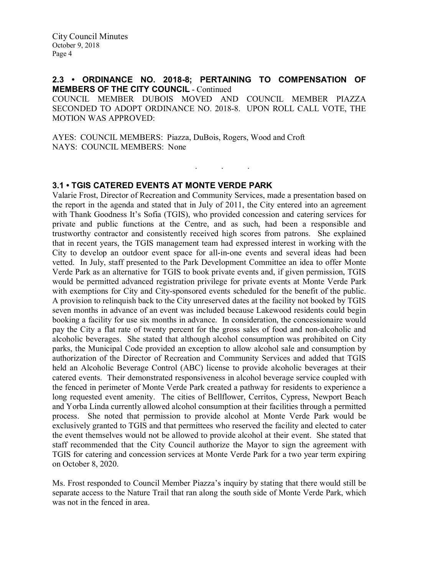#### 2.3 • ORDINANCE NO. 2018-8; PERTAINING TO COMPENSATION OF MEMBERS OF THE CITY COUNCIL - Continued

COUNCIL MEMBER DUBOIS MOVED AND COUNCIL MEMBER PIAZZA SECONDED TO ADOPT ORDINANCE NO. 2018-8. UPON ROLL CALL VOTE, THE MOTION WAS APPROVED:

. . .

AYES: COUNCIL MEMBERS: Piazza, DuBois, Rogers, Wood and Croft NAYS: COUNCIL MEMBERS: None

## 3.1 • TGIS CATERED EVENTS AT MONTE VERDE PARK

Valarie Frost, Director of Recreation and Community Services, made a presentation based on the report in the agenda and stated that in July of 2011, the City entered into an agreement with Thank Goodness It's Sofia (TGIS), who provided concession and catering services for private and public functions at the Centre, and as such, had been a responsible and trustworthy contractor and consistently received high scores from patrons. She explained that in recent years, the TGIS management team had expressed interest in working with the City to develop an outdoor event space for all-in-one events and several ideas had been vetted. In July, staff presented to the Park Development Committee an idea to offer Monte Verde Park as an alternative for TGIS to book private events and, if given permission, TGIS would be permitted advanced registration privilege for private events at Monte Verde Park with exemptions for City and City-sponsored events scheduled for the benefit of the public. A provision to relinquish back to the City unreserved dates at the facility not booked by TGIS seven months in advance of an event was included because Lakewood residents could begin booking a facility for use six months in advance. In consideration, the concessionaire would pay the City a flat rate of twenty percent for the gross sales of food and non-alcoholic and alcoholic beverages. She stated that although alcohol consumption was prohibited on City parks, the Municipal Code provided an exception to allow alcohol sale and consumption by authorization of the Director of Recreation and Community Services and added that TGIS held an Alcoholic Beverage Control (ABC) license to provide alcoholic beverages at their catered events. Their demonstrated responsiveness in alcohol beverage service coupled with the fenced in perimeter of Monte Verde Park created a pathway for residents to experience a long requested event amenity. The cities of Bellflower, Cerritos, Cypress, Newport Beach and Yorba Linda currently allowed alcohol consumption at their facilities through a permitted process. She noted that permission to provide alcohol at Monte Verde Park would be exclusively granted to TGIS and that permittees who reserved the facility and elected to cater the event themselves would not be allowed to provide alcohol at their event. She stated that staff recommended that the City Council authorize the Mayor to sign the agreement with TGIS for catering and concession services at Monte Verde Park for a two year term expiring on October 8, 2020.

Ms. Frost responded to Council Member Piazza's inquiry by stating that there would still be separate access to the Nature Trail that ran along the south side of Monte Verde Park, which was not in the fenced in area.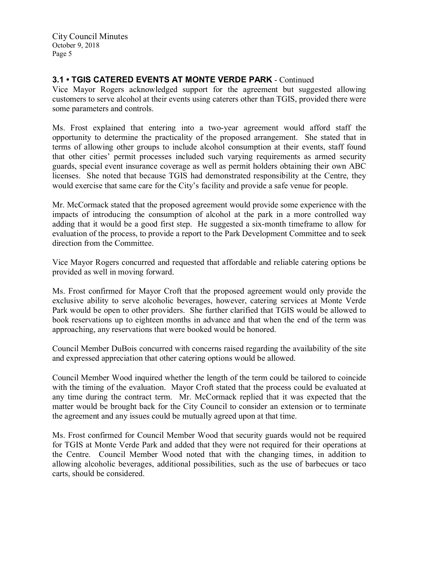# 3.1 • TGIS CATERED EVENTS AT MONTE VERDE PARK - Continued

Vice Mayor Rogers acknowledged support for the agreement but suggested allowing customers to serve alcohol at their events using caterers other than TGIS, provided there were some parameters and controls.

Ms. Frost explained that entering into a two-year agreement would afford staff the opportunity to determine the practicality of the proposed arrangement. She stated that in terms of allowing other groups to include alcohol consumption at their events, staff found that other cities' permit processes included such varying requirements as armed security guards, special event insurance coverage as well as permit holders obtaining their own ABC licenses. She noted that because TGIS had demonstrated responsibility at the Centre, they would exercise that same care for the City's facility and provide a safe venue for people.

Mr. McCormack stated that the proposed agreement would provide some experience with the impacts of introducing the consumption of alcohol at the park in a more controlled way adding that it would be a good first step. He suggested a six-month timeframe to allow for evaluation of the process, to provide a report to the Park Development Committee and to seek direction from the Committee.

Vice Mayor Rogers concurred and requested that affordable and reliable catering options be provided as well in moving forward.

Ms. Frost confirmed for Mayor Croft that the proposed agreement would only provide the exclusive ability to serve alcoholic beverages, however, catering services at Monte Verde Park would be open to other providers. She further clarified that TGIS would be allowed to book reservations up to eighteen months in advance and that when the end of the term was approaching, any reservations that were booked would be honored.

Council Member DuBois concurred with concerns raised regarding the availability of the site and expressed appreciation that other catering options would be allowed.

Council Member Wood inquired whether the length of the term could be tailored to coincide with the timing of the evaluation. Mayor Croft stated that the process could be evaluated at any time during the contract term. Mr. McCormack replied that it was expected that the matter would be brought back for the City Council to consider an extension or to terminate the agreement and any issues could be mutually agreed upon at that time.

Ms. Frost confirmed for Council Member Wood that security guards would not be required for TGIS at Monte Verde Park and added that they were not required for their operations at the Centre. Council Member Wood noted that with the changing times, in addition to allowing alcoholic beverages, additional possibilities, such as the use of barbecues or taco carts, should be considered.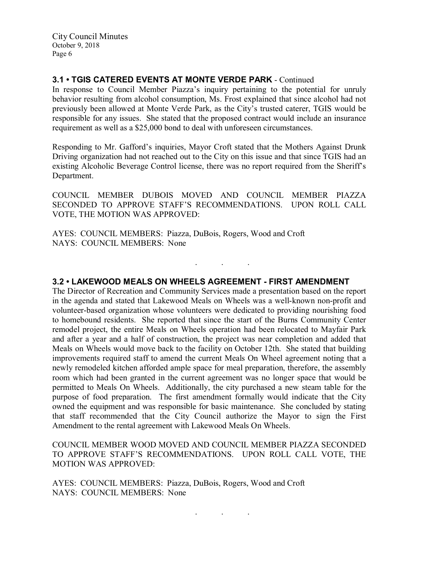# 3.1 • TGIS CATERED EVENTS AT MONTE VERDE PARK - Continued

In response to Council Member Piazza's inquiry pertaining to the potential for unruly behavior resulting from alcohol consumption, Ms. Frost explained that since alcohol had not previously been allowed at Monte Verde Park, as the City's trusted caterer, TGIS would be responsible for any issues. She stated that the proposed contract would include an insurance requirement as well as a \$25,000 bond to deal with unforeseen circumstances.

Responding to Mr. Gafford's inquiries, Mayor Croft stated that the Mothers Against Drunk Driving organization had not reached out to the City on this issue and that since TGIS had an existing Alcoholic Beverage Control license, there was no report required from the Sheriff's Department.

COUNCIL MEMBER DUBOIS MOVED AND COUNCIL MEMBER PIAZZA SECONDED TO APPROVE STAFF'S RECOMMENDATIONS. UPON ROLL CALL VOTE, THE MOTION WAS APPROVED:

. . .

AYES: COUNCIL MEMBERS: Piazza, DuBois, Rogers, Wood and Croft NAYS: COUNCIL MEMBERS: None

#### 3.2 • LAKEWOOD MEALS ON WHEELS AGREEMENT - FIRST AMENDMENT

The Director of Recreation and Community Services made a presentation based on the report in the agenda and stated that Lakewood Meals on Wheels was a well-known non-profit and volunteer-based organization whose volunteers were dedicated to providing nourishing food to homebound residents. She reported that since the start of the Burns Community Center remodel project, the entire Meals on Wheels operation had been relocated to Mayfair Park and after a year and a half of construction, the project was near completion and added that Meals on Wheels would move back to the facility on October 12th. She stated that building improvements required staff to amend the current Meals On Wheel agreement noting that a newly remodeled kitchen afforded ample space for meal preparation, therefore, the assembly room which had been granted in the current agreement was no longer space that would be permitted to Meals On Wheels. Additionally, the city purchased a new steam table for the purpose of food preparation. The first amendment formally would indicate that the City owned the equipment and was responsible for basic maintenance. She concluded by stating that staff recommended that the City Council authorize the Mayor to sign the First Amendment to the rental agreement with Lakewood Meals On Wheels.

COUNCIL MEMBER WOOD MOVED AND COUNCIL MEMBER PIAZZA SECONDED TO APPROVE STAFF'S RECOMMENDATIONS. UPON ROLL CALL VOTE, THE MOTION WAS APPROVED:

. . .

AYES: COUNCIL MEMBERS: Piazza, DuBois, Rogers, Wood and Croft NAYS: COUNCIL MEMBERS: None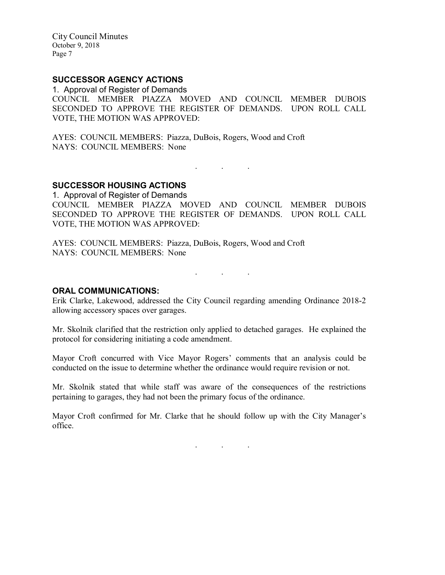## SUCCESSOR AGENCY ACTIONS

1. Approval of Register of Demands COUNCIL MEMBER PIAZZA MOVED AND COUNCIL MEMBER DUBOIS SECONDED TO APPROVE THE REGISTER OF DEMANDS. UPON ROLL CALL VOTE, THE MOTION WAS APPROVED:

AYES: COUNCIL MEMBERS: Piazza, DuBois, Rogers, Wood and Croft NAYS: COUNCIL MEMBERS: None

. . .

### SUCCESSOR HOUSING ACTIONS

1. Approval of Register of Demands COUNCIL MEMBER PIAZZA MOVED AND COUNCIL MEMBER DUBOIS SECONDED TO APPROVE THE REGISTER OF DEMANDS. UPON ROLL CALL VOTE, THE MOTION WAS APPROVED:

AYES: COUNCIL MEMBERS: Piazza, DuBois, Rogers, Wood and Croft NAYS: COUNCIL MEMBERS: None

. . .

#### ORAL COMMUNICATIONS:

Erik Clarke, Lakewood, addressed the City Council regarding amending Ordinance 2018-2 allowing accessory spaces over garages.

Mr. Skolnik clarified that the restriction only applied to detached garages. He explained the protocol for considering initiating a code amendment.

Mayor Croft concurred with Vice Mayor Rogers' comments that an analysis could be conducted on the issue to determine whether the ordinance would require revision or not.

Mr. Skolnik stated that while staff was aware of the consequences of the restrictions pertaining to garages, they had not been the primary focus of the ordinance.

Mayor Croft confirmed for Mr. Clarke that he should follow up with the City Manager's office.

. . .